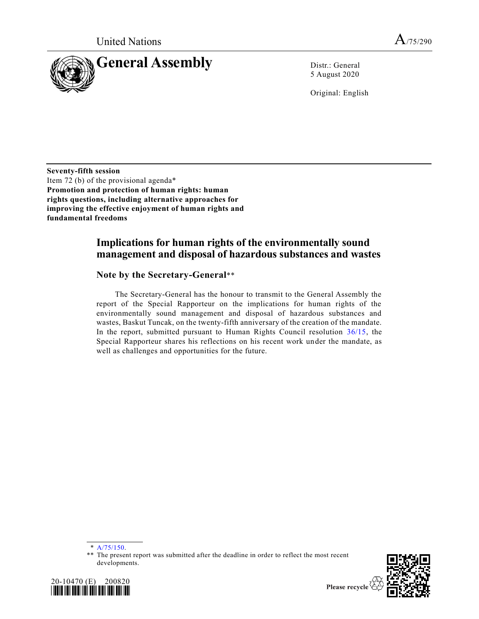

5 August 2020

Original: English

**Seventy-fifth session**  Item 72 (b) of the provisional agenda\* **Promotion and protection of human rights: human rights questions, including alternative approaches for improving the effective enjoyment of human rights and fundamental freedoms**

## **Implications for human rights of the environmentally sound management and disposal of hazardous substances and wastes**

### **Note by the Secretary-General**\*\*

The Secretary-General has the honour to transmit to the General Assembly the report of the Special Rapporteur on the implications for human rights of the environmentally sound management and disposal of hazardous substances and wastes, Baskut Tuncak, on the twenty-fifth anniversary of the creation of the mandate. In the report, submitted pursuant to Human Rights Council resolution [36/15,](https://undocs.org/en/A/HRC/RES/36/15) the Special Rapporteur shares his reflections on his recent work under the mandate, as well as challenges and opportunities for the future.

<sup>\*\*</sup> The present report was submitted after the deadline in order to reflect the most recent developments.





<sup>\*</sup> [A/75/150.](https://undocs.org/en/A/75/150)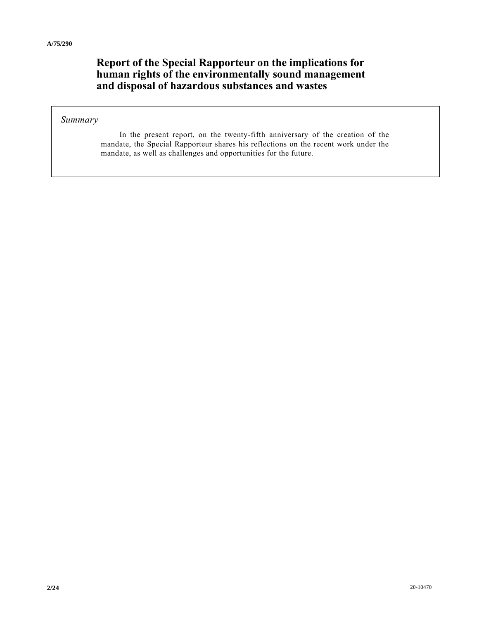# **Report of the Special Rapporteur on the implications for human rights of the environmentally sound management and disposal of hazardous substances and wastes**

#### *Summary*

In the present report, on the twenty-fifth anniversary of the creation of the mandate, the Special Rapporteur shares his reflections on the recent work under the mandate, as well as challenges and opportunities for the future.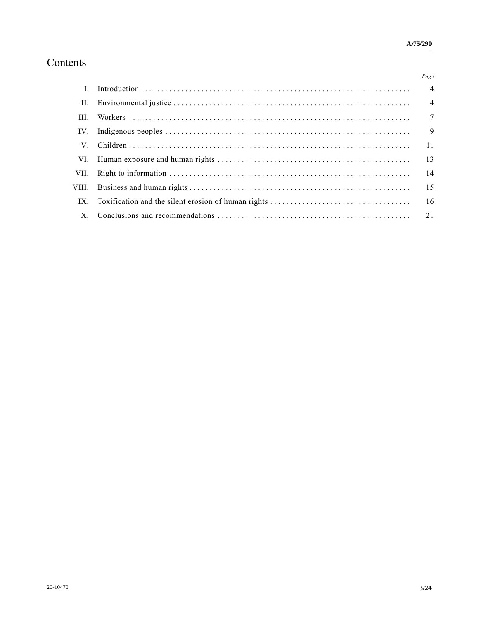# Contents

|     | Page           |
|-----|----------------|
|     |                |
| II. |                |
| HI. |                |
| IV. | $\overline{9}$ |
| V.  |                |
|     | 13             |
|     |                |
|     | 15             |
|     |                |
|     |                |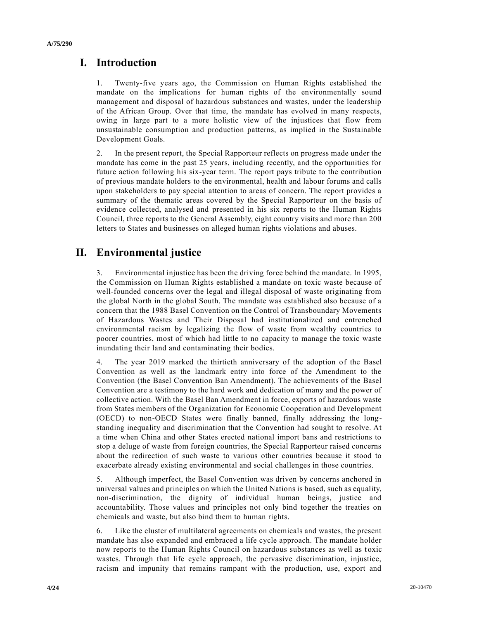## **I. Introduction**

1. Twenty-five years ago, the Commission on Human Rights established the mandate on the implications for human rights of the environmentally sound management and disposal of hazardous substances and wastes, under the leadership of the African Group. Over that time, the mandate has evolved in many respects, owing in large part to a more holistic view of the injustices that flow from unsustainable consumption and production patterns, as implied in the Sustainable Development Goals.

2. In the present report, the Special Rapporteur reflects on progress made under the mandate has come in the past 25 years, including recently, and the opportunities for future action following his six-year term. The report pays tribute to the contribution of previous mandate holders to the environmental, health and labour forums and calls upon stakeholders to pay special attention to areas of concern. The report provides a summary of the thematic areas covered by the Special Rapporteur on the basis of evidence collected, analysed and presented in his six reports to the Human Rights Council, three reports to the General Assembly, eight country visits and more than 200 letters to States and businesses on alleged human rights violations and abuses.

# **II. Environmental justice**

3. Environmental injustice has been the driving force behind the mandate. In 1995, the Commission on Human Rights established a mandate on toxic waste because of well-founded concerns over the legal and illegal disposal of waste originating from the global North in the global South. The mandate was established also because of a concern that the 1988 Basel Convention on the Control of Transboundary Movements of Hazardous Wastes and Their Disposal had institutionalized and entrenched environmental racism by legalizing the flow of waste from wealthy countries to poorer countries, most of which had little to no capacity to manage the toxic waste inundating their land and contaminating their bodies.

4. The year 2019 marked the thirtieth anniversary of the adoption of the Basel Convention as well as the landmark entry into force of the Amendment to the Convention (the Basel Convention Ban Amendment). The achievements of the Basel Convention are a testimony to the hard work and dedication of many and the power of collective action. With the Basel Ban Amendment in force, exports of hazardous waste from States members of the Organization for Economic Cooperation and Development (OECD) to non-OECD States were finally banned, finally addressing the longstanding inequality and discrimination that the Convention had sought to resolve. At a time when China and other States erected national import bans and restrictions to stop a deluge of waste from foreign countries, the Special Rapporteur raised concerns about the redirection of such waste to various other countries because it stood to exacerbate already existing environmental and social challenges in those countries.

5. Although imperfect, the Basel Convention was driven by concerns anchored in universal values and principles on which the United Nations is based, such as equality, non-discrimination, the dignity of individual human beings, justice and accountability. Those values and principles not only bind together the treaties on chemicals and waste, but also bind them to human rights.

6. Like the cluster of multilateral agreements on chemicals and wastes, the present mandate has also expanded and embraced a life cycle approach. The mandate holder now reports to the Human Rights Council on hazardous substances as well as toxic wastes. Through that life cycle approach, the pervasive discrimination, injustice, racism and impunity that remains rampant with the production, use, export and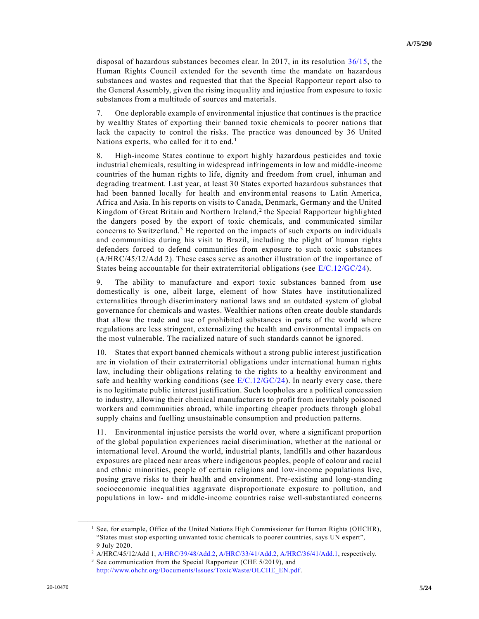disposal of hazardous substances becomes clear. In 2017, in its resolution [36/15,](https://undocs.org/en/A/HRC/RES/36/15) the Human Rights Council extended for the seventh time the mandate on hazardous substances and wastes and requested that that the Special Rapporteur report also to the General Assembly, given the rising inequality and injustice from exposure to toxic substances from a multitude of sources and materials.

7. One deplorable example of environmental injustice that continues is the practice by wealthy States of exporting their banned toxic chemicals to poorer nation s that lack the capacity to control the risks. The practice was denounced by 36 United Nations experts, who called for it to end.<sup>1</sup>

8. High-income States continue to export highly hazardous pesticides and toxic industrial chemicals, resulting in widespread infringements in low and middle-income countries of the human rights to life, dignity and freedom from cruel, inhuman and degrading treatment. Last year, at least 30 States exported hazardous substances that had been banned locally for health and environmental reasons to Latin America, Africa and Asia. In his reports on visits to Canada, Denmark, Germany and the United Kingdom of Great Britain and Northern Ireland,<sup>2</sup> the Special Rapporteur highlighted the dangers posed by the export of toxic chemicals, and communicated similar concerns to Switzerland.<sup>3</sup> He reported on the impacts of such exports on individuals and communities during his visit to Brazil, including the plight of human rights defenders forced to defend communities from exposure to such toxic substances (A/HRC/45/12/Add 2). These cases serve as another illustration of the importance of States being accountable for their extraterritorial obligations (see [E/C.12/GC/24\)](https://undocs.org/en/E/C.12/GC/24).

9. The ability to manufacture and export toxic substances banned from use domestically is one, albeit large, element of how States have institutionalized externalities through discriminatory national laws and an outdated system of global governance for chemicals and wastes. Wealthier nations often create double standards that allow the trade and use of prohibited substances in parts of the world where regulations are less stringent, externalizing the health and environmental impacts on the most vulnerable. The racialized nature of such standards cannot be ignored.

10. States that export banned chemicals without a strong public interest justification are in violation of their extraterritorial obligations under international human rights law, including their obligations relating to the rights to a healthy environment and safe and healthy working conditions (see  $E/C.12/GC/24$ ). In nearly every case, there is no legitimate public interest justification. Such loopholes are a political conce ssion to industry, allowing their chemical manufacturers to profit from inevitably poisoned workers and communities abroad, while importing cheaper products through global supply chains and fuelling unsustainable consumption and production patterns.

11. Environmental injustice persists the world over, where a significant proportion of the global population experiences racial discrimination, whether at the national or international level. Around the world, industrial plants, landfills and other hazardous exposures are placed near areas where indigenous peoples, people of colour and racial and ethnic minorities, people of certain religions and low-income populations live, posing grave risks to their health and environment. Pre-existing and long-standing socioeconomic inequalities aggravate disproportionate exposure to pollution, and populations in low- and middle-income countries raise well-substantiated concerns

<sup>&</sup>lt;sup>1</sup> See, for example, Office of the United Nations High Commissioner for Human Rights (OHCHR), "States must stop exporting unwanted toxic chemicals to poorer countries, says UN expert", 9 July 2020.

<sup>2</sup> A/HRC/45/12/Add 1[, A/HRC/39/48/Add.2,](https://undocs.org/en/A/HRC/39/48/Add.2) [A/HRC/33/41/Add.2,](https://undocs.org/en/A/HRC/33/41/Add.2) [A/HRC/36/41/Add.1,](https://undocs.org/en/A/HRC/36/41/Add.1) respectively.

<sup>3</sup> See communication from the Special Rapporteur (CHE 5/2019), and

[http://www.ohchr.org/Documents/Issues/ToxicWaste/OLCHE\\_EN.pdf.](http://www.ohchr.org/Documents/Issues/ToxicWaste/OLCHE_EN.pdf)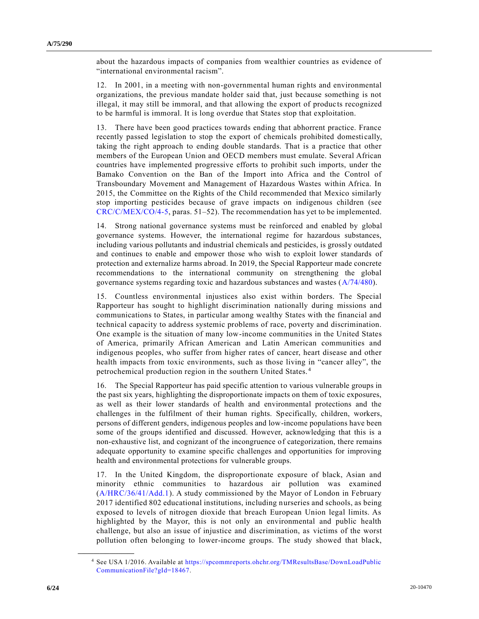about the hazardous impacts of companies from wealthier countries as evidence of "international environmental racism".

12. In 2001, in a meeting with non-governmental human rights and environmental organizations, the previous mandate holder said that, just because something is not illegal, it may still be immoral, and that allowing the export of products recognized to be harmful is immoral. It is long overdue that States stop that exploitation.

13. There have been good practices towards ending that abhorrent practice. France recently passed legislation to stop the export of chemicals prohibited domestically, taking the right approach to ending double standards. That is a practice that other members of the European Union and OECD members must emulate. Several African countries have implemented progressive efforts to prohibit such imports, under the Bamako Convention on the Ban of the Import into Africa and the Control of Transboundary Movement and Management of Hazardous Wastes within Africa. In 2015, the Committee on the Rights of the Child recommended that Mexico similarly stop importing pesticides because of grave impacts on indigenous children (see [CRC/C/MEX/CO/4-5,](https://undocs.org/en/CRC/C/MEX/CO/4-5) paras. 51–52). The recommendation has yet to be implemented.

14. Strong national governance systems must be reinforced and enabled by global governance systems. However, the international regime for hazardous substances, including various pollutants and industrial chemicals and pesticides, is grossly outdated and continues to enable and empower those who wish to exploit lower standards of protection and externalize harms abroad. In 2019, the Special Rapporteur made concrete recommendations to the international community on strengthening the global governance systems regarding toxic and hazardous substances and wastes [\(A/74/480\)](https://undocs.org/en/A/74/480).

15. Countless environmental injustices also exist within borders. The Special Rapporteur has sought to highlight discrimination nationally during missions and communications to States, in particular among wealthy States with the financial and technical capacity to address systemic problems of race, poverty and discrimination. One example is the situation of many low-income communities in the United States of America, primarily African American and Latin American communities and indigenous peoples, who suffer from higher rates of cancer, heart disease and other health impacts from toxic environments, such as those living in "cancer alley", the petrochemical production region in the southern United States. <sup>4</sup>

16. The Special Rapporteur has paid specific attention to various vulnerable groups in the past six years, highlighting the disproportionate impacts on them of toxic exposures, as well as their lower standards of health and environmental protections and the challenges in the fulfilment of their human rights. Specifically, children, workers, persons of different genders, indigenous peoples and low-income populations have been some of the groups identified and discussed. However, acknowledging that this is a non-exhaustive list, and cognizant of the incongruence of categorization, there remains adequate opportunity to examine specific challenges and opportunities for improving health and environmental protections for vulnerable groups.

17. In the United Kingdom, the disproportionate exposure of black, Asian and minority ethnic communities to hazardous air pollution was examined [\(A/HRC/36/41/Add.1\)](https://undocs.org/en/A/HRC/36/41/Add.1). A study commissioned by the Mayor of London in February 2017 identified 802 educational institutions, including nurseries and schools, as being exposed to levels of nitrogen dioxide that breach European Union legal limits. As highlighted by the Mayor, this is not only an environmental and public health challenge, but also an issue of injustice and discrimination, as victims of the worst pollution often belonging to lower-income groups. The study showed that black,

<sup>4</sup> See USA 1/2016. Available at [https://spcommreports.ohchr.org/TMResultsBase/DownLoadPublic](https://spcommreports.ohchr.org/TMResultsBase/DownLoadPublicCommunicationFile?gId=18467)  [CommunicationFile?gId=18467.](https://spcommreports.ohchr.org/TMResultsBase/DownLoadPublicCommunicationFile?gId=18467)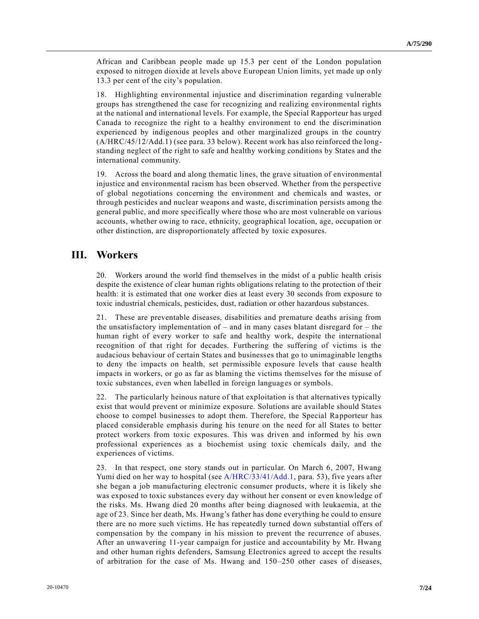African and Caribbean people made up 15.3 per cent of the London population exposed to nitrogen dioxide at levels above European Union limits, yet made up only 13.3 per cent of the city's population.

18. Highlighting environmental injustice and discrimination regarding vulnerable groups has strengthened the case for recognizing and realizing environmental rights at the national and international levels. For example, the Special Rapporteur has urged Canada to recognize the right to a healthy environment to end the discrimination experienced by indigenous peoples and other marginalized groups in the country (A/HRC/45/12/Add.1) (see para. 33 below). Recent work has also reinforced the longstanding neglect of the right to safe and healthy working conditions by States and the international community.

19. Across the board and along thematic lines, the grave situation of environmental injustice and environmental racism has been observed. Whether from the perspective of global negotiations concerning the environment and chemicals and wastes, or through pesticides and nuclear weapons and waste, discrimination persists among the general public, and more specifically where those who are most vulnerable on various accounts, whether owing to race, ethnicity, geographical location, age, occupation or other distinction, are disproportionately affected by toxic exposures.

## **III. Workers**

20. Workers around the world find themselves in the midst of a public health crisis despite the existence of clear human rights obligations relating to the protection of their health: it is estimated that one worker dies at least every 30 seconds from exposure to toxic industrial chemicals, pesticides, dust, radiation or other hazardous substances.

21. These are preventable diseases, disabilities and premature deaths arising from the unsatisfactory implementation of  $-$  and in many cases blatant disregard for  $-$  the human right of every worker to safe and healthy work, despite the international recognition of that right for decades. Furthering the suffering of victims is the audacious behaviour of certain States and businesses that go to unimaginable lengths to deny the impacts on health, set permissible exposure levels that cause health impacts in workers, or go as far as blaming the victims themselves for the misuse of toxic substances, even when labelled in foreign languages or symbols.

22. The particularly heinous nature of that exploitation is that alternatives typically exist that would prevent or minimize exposure. Solutions are available should States choose to compel businesses to adopt them. Therefore, the Special Rapporteur has placed considerable emphasis during his tenure on the need for all States to better protect workers from toxic exposures. This was driven and informed by his own professional experiences as a biochemist using toxic chemicals daily, and the experiences of victims.

23. In that respect, one story stands out in particular. On March 6, 2007, Hwang Yumi died on her way to hospital (see [A/HRC/33/41/Add.1,](https://undocs.org/en/A/HRC/33/41/Add.1) para. 53), five years after she began a job manufacturing electronic consumer products, where it is likely she was exposed to toxic substances every day without her consent or even knowledge of the risks. Ms. Hwang died 20 months after being diagnosed with leukaemia, at the age of 23. Since her death, Ms. Hwang's father has done everything he could to ensure there are no more such victims. He has repeatedly turned down substantial offers of compensation by the company in his mission to prevent the recurrence of abuses. After an unwavering 11-year campaign for justice and accountability by Mr. Hwang and other human rights defenders, Samsung Electronics agreed to accept the results of arbitration for the case of Ms. Hwang and 150–250 other cases of diseases,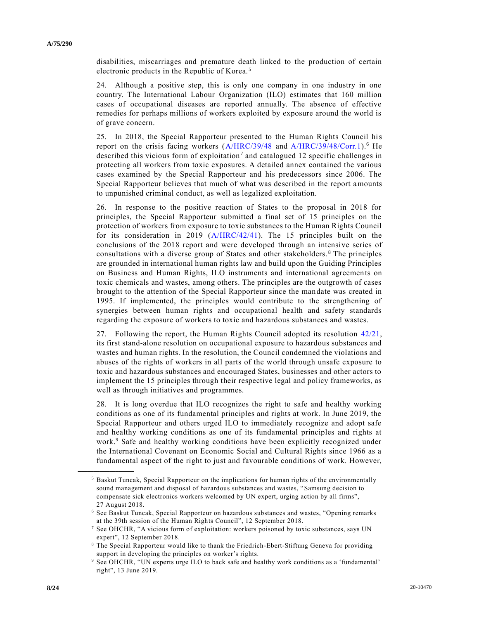disabilities, miscarriages and premature death linked to the production of certain electronic products in the Republic of Korea. <sup>5</sup>

24. Although a positive step, this is only one company in one industry in one country. The International Labour Organization (ILO) estimates that 160 million cases of occupational diseases are reported annually. The absence of effective remedies for perhaps millions of workers exploited by exposure around the world is of grave concern.

25. In 2018, the Special Rapporteur presented to the Human Rights Council his report on the crisis facing workers [\(A/HRC/39/48](https://undocs.org/en/A/HRC/39/48) and [A/HRC/39/48/Corr.1\)](https://undocs.org/en/A/HRC/39/48/Corr.1).<sup>6</sup> He described this vicious form of exploitation<sup>7</sup> and catalogued 12 specific challenges in protecting all workers from toxic exposures. A detailed annex contained the various cases examined by the Special Rapporteur and his predecessors since 2006. The Special Rapporteur believes that much of what was described in the report amounts to unpunished criminal conduct, as well as legalized exploitation.

26. In response to the positive reaction of States to the proposal in 2018 for principles, the Special Rapporteur submitted a final set of 15 principles on the protection of workers from exposure to toxic substances to the Human Rights Council for its consideration in 2019 [\(A/HRC/42/41\)](https://undocs.org/en/A/HRC/42/41). The 15 principles built on the conclusions of the 2018 report and were developed through an intensive series of consultations with a diverse group of States and other stakeholders. <sup>8</sup> The principles are grounded in international human rights law and build upon the Guiding Principles on Business and Human Rights, ILO instruments and international agreements on toxic chemicals and wastes, among others. The principles are the outgrowth of cases brought to the attention of the Special Rapporteur since the mandate was created in 1995. If implemented, the principles would contribute to the strengthening of synergies between human rights and occupational health and safety standards regarding the exposure of workers to toxic and hazardous substances and wastes.

27. Following the report, the Human Rights Council adopted its resolution [42/21,](https://undocs.org/en/A/HRC/RES/42/21) its first stand-alone resolution on occupational exposure to hazardous substances and wastes and human rights. In the resolution, the Council condemned the violations and abuses of the rights of workers in all parts of the world through unsafe exposure to toxic and hazardous substances and encouraged States, businesses and other actors to implement the 15 principles through their respective legal and policy frameworks, as well as through initiatives and programmes.

28. It is long overdue that ILO recognizes the right to safe and healthy working conditions as one of its fundamental principles and rights at work. In June 2019, the Special Rapporteur and others urged ILO to immediately recognize and adopt safe and healthy working conditions as one of its fundamental principles and rights at work.<sup>9</sup> Safe and healthy working conditions have been explicitly recognized under the International Covenant on Economic Social and Cultural Rights since 1966 as a fundamental aspect of the right to just and favourable conditions of work. However,

<sup>5</sup> Baskut Tuncak, Special Rapporteur on the implications for human rights of the environmentally sound management and disposal of hazardous substances and wastes, "Samsung decision to compensate sick electronics workers welcomed by UN expert, urging action by all firms", 27 August 2018.

<sup>6</sup> See Baskut Tuncak, Special Rapporteur on hazardous substances and wastes, "Opening remarks at the 39th session of the Human Rights Council", 12 September 2018.

<sup>7</sup> See OHCHR, "A vicious form of exploitation: workers poisoned by toxic substances, says UN expert", 12 September 2018.

<sup>8</sup> The Special Rapporteur would like to thank the Friedrich-Ebert-Stiftung Geneva for providing support in developing the principles on worker's rights.

<sup>9</sup> See OHCHR, "UN experts urge ILO to back safe and healthy work conditions as a 'fundamental' right", 13 June 2019.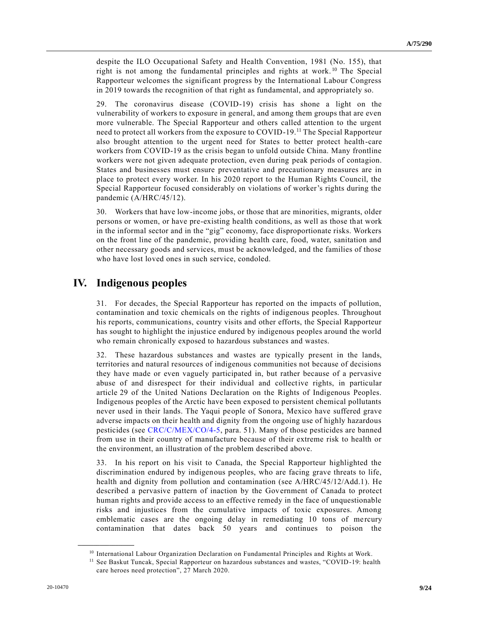despite the ILO Occupational Safety and Health Convention, 1981 (No. 155), that right is not among the fundamental principles and rights at work.<sup>10</sup> The Special Rapporteur welcomes the significant progress by the International Labour Congress in 2019 towards the recognition of that right as fundamental, and appropriately so.

29. The coronavirus disease (COVID-19) crisis has shone a light on the vulnerability of workers to exposure in general, and among them groups that are even more vulnerable. The Special Rapporteur and others called attention to the urgent need to protect all workers from the exposure to COVID-19.<sup>11</sup> The Special Rapporteur also brought attention to the urgent need for States to better protect health-care workers from COVID-19 as the crisis began to unfold outside China. Many frontline workers were not given adequate protection, even during peak periods of contagion. States and businesses must ensure preventative and precautionary measures are in place to protect every worker. In his 2020 report to the Human Rights Council, the Special Rapporteur focused considerably on violations of worker's rights during the pandemic (A/HRC/45/12).

30. Workers that have low-income jobs, or those that are minorities, migrants, older persons or women, or have pre-existing health conditions, as well as those that work in the informal sector and in the "gig" economy, face disproportionate risks. Workers on the front line of the pandemic, providing health care, food, water, sanitation and other necessary goods and services, must be acknowledged, and the families of those who have lost loved ones in such service, condoled.

## **IV. Indigenous peoples**

31. For decades, the Special Rapporteur has reported on the impacts of pollution, contamination and toxic chemicals on the rights of indigenous peoples. Throughout his reports, communications, country visits and other efforts, the Special Rapporteur has sought to highlight the injustice endured by indigenous peoples around the world who remain chronically exposed to hazardous substances and wastes.

32. These hazardous substances and wastes are typically present in the lands, territories and natural resources of indigenous communities not because of decisions they have made or even vaguely participated in, but rather because of a pervasive abuse of and disrespect for their individual and collective rights, in particular article 29 of the United Nations Declaration on the Rights of Indigenous Peoples. Indigenous peoples of the Arctic have been exposed to persistent chemical pollutants never used in their lands. The Yaqui people of Sonora, Mexico have suffered grave adverse impacts on their health and dignity from the ongoing use of highly hazardous pesticides (see [CRC/C/MEX/CO/4-5,](https://undocs.org/en/CRC/C/MEX/CO/4-5) para. 51). Many of those pesticides are banned from use in their country of manufacture because of their extreme risk to health or the environment, an illustration of the problem described above.

33. In his report on his visit to Canada, the Special Rapporteur highlighted the discrimination endured by indigenous peoples, who are facing grave threats to life, health and dignity from pollution and contamination (see A/HRC/45/12/Add.1). He described a pervasive pattern of inaction by the Government of Canada to protect human rights and provide access to an effective remedy in the face of unquestionable risks and injustices from the cumulative impacts of toxic exposures. Among emblematic cases are the ongoing delay in remediating 10 tons of mercury contamination that dates back 50 years and continues to poison the

<sup>&</sup>lt;sup>10</sup> International Labour Organization Declaration on Fundamental Principles and Rights at Work.

<sup>&</sup>lt;sup>11</sup> See Baskut Tuncak, Special Rapporteur on hazardous substances and wastes, "COVID-19: health care heroes need protection", 27 March 2020.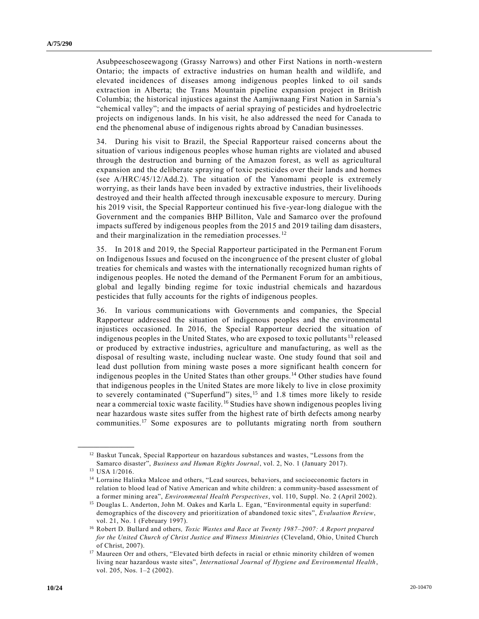Asubpeeschoseewagong (Grassy Narrows) and other First Nations in north-western Ontario; the impacts of extractive industries on human health and wildlife, and elevated incidences of diseases among indigenous peoples linked to oil sands extraction in Alberta; the Trans Mountain pipeline expansion project in British Columbia; the historical injustices against the Aamjiwnaang First Nation in Sarnia's "chemical valley"; and the impacts of aerial spraying of pesticides and hydroelectric projects on indigenous lands. In his visit, he also addressed the need for Canada to end the phenomenal abuse of indigenous rights abroad by Canadian businesses.

34. During his visit to Brazil, the Special Rapporteur raised concerns about the situation of various indigenous peoples whose human rights are violated and abused through the destruction and burning of the Amazon forest, as well as agricultural expansion and the deliberate spraying of toxic pesticides over their lands and homes (see A/HRC/45/12/Add.2). The situation of the Yanomami people is extremely worrying, as their lands have been invaded by extractive industries, their livelihoods destroyed and their health affected through inexcusable exposure to mercury. During his 2019 visit, the Special Rapporteur continued his five-year-long dialogue with the Government and the companies BHP Billiton, Vale and Samarco over the profound impacts suffered by indigenous peoples from the 2015 and 2019 tailing dam disasters, and their marginalization in the remediation processes. <sup>12</sup>

35. In 2018 and 2019, the Special Rapporteur participated in the Permanent Forum on Indigenous Issues and focused on the incongruence of the present cluster of global treaties for chemicals and wastes with the internationally recognized human rights of indigenous peoples. He noted the demand of the Permanent Forum for an ambitious, global and legally binding regime for toxic industrial chemicals and hazardous pesticides that fully accounts for the rights of indigenous peoples.

36. In various communications with Governments and companies, the Special Rapporteur addressed the situation of indigenous peoples and the environmental injustices occasioned. In 2016, the Special Rapporteur decried the situation of indigenous peoples in the United States, who are exposed to toxic pollutants <sup>13</sup> released or produced by extractive industries, agriculture and manufacturing, as well as the disposal of resulting waste, including nuclear waste. One study found that soil and lead dust pollution from mining waste poses a more significant health concern for indigenous peoples in the United States than other groups.<sup>14</sup> Other studies have found that indigenous peoples in the United States are more likely to live in close proximity to severely contaminated ("Superfund") sites, <sup>15</sup> and 1.8 times more likely to reside near a commercial toxic waste facility.<sup>16</sup> Studies have shown indigenous peoples living near hazardous waste sites suffer from the highest rate of birth defects among nearby communities.<sup>17</sup> Some exposures are to pollutants migrating north from southern

<sup>&</sup>lt;sup>12</sup> Baskut Tuncak, Special Rapporteur on hazardous substances and wastes, "Lessons from the Samarco disaster", *Business and Human Rights Journal*, vol. 2, No. 1 (January 2017).

<sup>13</sup> USA 1/2016.

<sup>&</sup>lt;sup>14</sup> Lorraine Halinka Malcoe and others, "Lead sources, behaviors, and socioeconomic factors in relation to blood lead of Native American and white children: a community-based assessment of a former mining area", *Environmental Health Perspectives*, vol. 110, Suppl. No. 2 (April 2002).

<sup>15</sup> Douglas L. Anderton, John M. Oakes and Karla L. Egan, "Environmental equity in superfund: demographics of the discovery and prioritization of abandoned toxic sites", *Evaluation Review*, vol. 21, No. 1 (February 1997).

<sup>16</sup> Robert D. Bullard and others*, Toxic Wastes and Race at Twenty 1987–2007: A Report prepared for the United Church of Christ Justice and Witness Ministries* (Cleveland, Ohio, United Church of Christ, 2007).

<sup>&</sup>lt;sup>17</sup> Maureen Orr and others, "Elevated birth defects in racial or ethnic minority children of women living near hazardous waste sites", *International Journal of Hygiene and Environmental Health*, vol. 205, Nos. 1–2 (2002).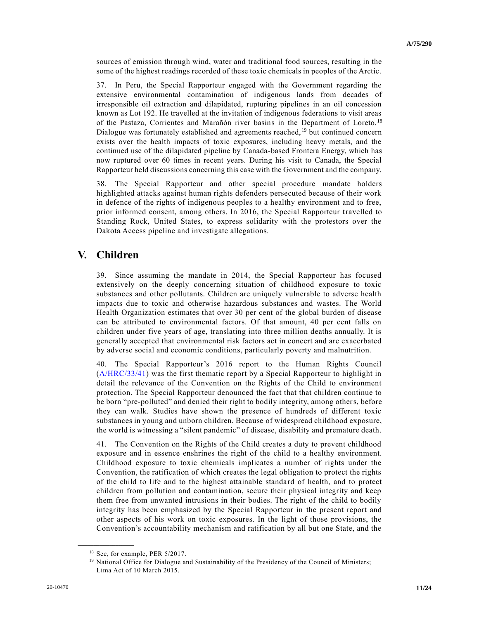sources of emission through wind, water and traditional food sources, resulting in the some of the highest readings recorded of these toxic chemicals in peoples of the Arctic.

37. In Peru, the Special Rapporteur engaged with the Government regarding the extensive environmental contamination of indigenous lands from decades of irresponsible oil extraction and dilapidated, rupturing pipelines in an oil concession known as Lot 192. He travelled at the invitation of indigenous federations to visit areas of the Pastaza, Corrientes and Marañón river basins in the Department of Loreto.<sup>18</sup> Dialogue was fortunately established and agreements reached,  $19$  but continued concern exists over the health impacts of toxic exposures, including heavy metals, and the continued use of the dilapidated pipeline by Canada-based Frontera Energy, which has now ruptured over 60 times in recent years. During his visit to Canada, the Special Rapporteur held discussions concerning this case with the Government and the company.

38. The Special Rapporteur and other special procedure mandate holders highlighted attacks against human rights defenders persecuted because of their work in defence of the rights of indigenous peoples to a healthy environment and to free, prior informed consent, among others. In 2016, the Special Rapporteur travelled to Standing Rock, United States, to express solidarity with the protestors over the Dakota Access pipeline and investigate allegations.

# **V. Children**

39. Since assuming the mandate in 2014, the Special Rapporteur has focused extensively on the deeply concerning situation of childhood exposure to toxic substances and other pollutants. Children are uniquely vulnerable to adverse health impacts due to toxic and otherwise hazardous substances and wastes. The World Health Organization estimates that over 30 per cent of the global burden of disease can be attributed to environmental factors. Of that amount, 40 per cent falls on children under five years of age, translating into three million deaths annually. It is generally accepted that environmental risk factors act in concert and are exacerbated by adverse social and economic conditions, particularly poverty and malnutrition.

40. The Special Rapporteur's 2016 report to the Human Rights Council [\(A/HRC/33/41\)](https://undocs.org/en/A/HRC/33/41) was the first thematic report by a Special Rapporteur to highlight in detail the relevance of the Convention on the Rights of the Child to environment protection. The Special Rapporteur denounced the fact that that children continue to be born "pre-polluted" and denied their right to bodily integrity, among others, before they can walk. Studies have shown the presence of hundreds of different toxic substances in young and unborn children. Because of widespread childhood exposure, the world is witnessing a "silent pandemic" of disease, disability and premature death.

41. The Convention on the Rights of the Child creates a duty to prevent childhood exposure and in essence enshrines the right of the child to a healthy environment. Childhood exposure to toxic chemicals implicates a number of rights under the Convention, the ratification of which creates the legal obligation to protect the rights of the child to life and to the highest attainable standard of health, and to protect children from pollution and contamination, secure their physical integrity and keep them free from unwanted intrusions in their bodies. The right of the child to bodily integrity has been emphasized by the Special Rapporteur in the present report and other aspects of his work on toxic exposures. In the light of those provisions, the Convention's accountability mechanism and ratification by all but one State, and the

<sup>&</sup>lt;sup>18</sup> See, for example, PER 5/2017.

<sup>&</sup>lt;sup>19</sup> National Office for Dialogue and Sustainability of the Presidency of the Council of Ministers; Lima Act of 10 March 2015.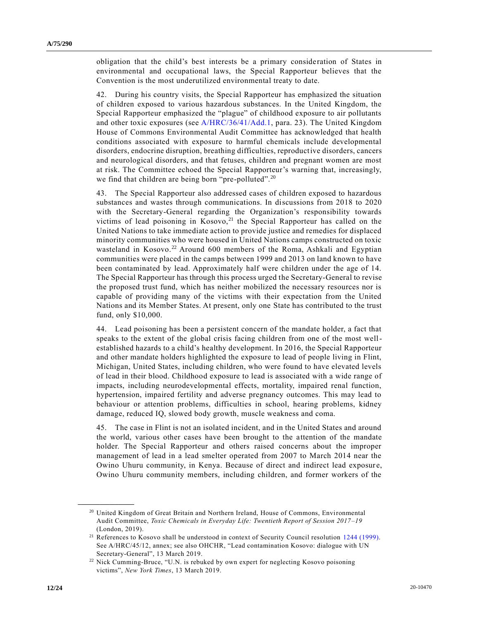obligation that the child's best interests be a primary consideration of States in environmental and occupational laws, the Special Rapporteur believes that the Convention is the most underutilized environmental treaty to date.

42. During his country visits, the Special Rapporteur has emphasized the situation of children exposed to various hazardous substances. In the United Kingdom, the Special Rapporteur emphasized the "plague" of childhood exposure to air pollutants and other toxic exposures (see [A/HRC/36/41/Add.1,](https://undocs.org/en/A/HRC/36/41/Add.1) para. 23). The United Kingdom House of Commons Environmental Audit Committee has acknowledged that health conditions associated with exposure to harmful chemicals include developmental disorders, endocrine disruption, breathing difficulties, reproductive disorders, cancers and neurological disorders, and that fetuses, children and pregnant women are most at risk. The Committee echoed the Special Rapporteur's warning that, increasingly, we find that children are being born "pre-polluted".<sup>20</sup>

43. The Special Rapporteur also addressed cases of children exposed to hazardous substances and wastes through communications. In discussions from 2018 to 2020 with the Secretary-General regarding the Organization's responsibility towards victims of lead poisoning in  $Kosovo$ ,<sup>21</sup> the Special Rapporteur has called on the United Nations to take immediate action to provide justice and remedies for displaced minority communities who were housed in United Nations camps constructed on toxic wasteland in Kosovo.<sup>22</sup> Around 600 members of the Roma, Ashkali and Egyptian communities were placed in the camps between 1999 and 2013 on land known to have been contaminated by lead. Approximately half were children under the age of 14. The Special Rapporteur has through this process urged the Secretary-General to revise the proposed trust fund, which has neither mobilized the necessary resources nor is capable of providing many of the victims with their expectation from the United Nations and its Member States. At present, only one State has contributed to the trust fund, only \$10,000.

44. Lead poisoning has been a persistent concern of the mandate holder, a fact that speaks to the extent of the global crisis facing children from one of the most wellestablished hazards to a child's healthy development. In 2016, the Special Rapporteur and other mandate holders highlighted the exposure to lead of people living in Flint, Michigan, United States, including children, who were found to have elevated levels of lead in their blood. Childhood exposure to lead is associated with a wide range of impacts, including neurodevelopmental effects, mortality, impaired renal function, hypertension, impaired fertility and adverse pregnancy outcomes. This may lead to behaviour or attention problems, difficulties in school, hearing problems, kidney damage, reduced IQ, slowed body growth, muscle weakness and coma.

45. The case in Flint is not an isolated incident, and in the United States and around the world, various other cases have been brought to the attention of the mandate holder. The Special Rapporteur and others raised concerns about the improper management of lead in a lead smelter operated from 2007 to March 2014 near the Owino Uhuru community, in Kenya. Because of direct and indirect lead exposur e, Owino Uhuru community members, including children, and former workers of the

<sup>&</sup>lt;sup>20</sup> United Kingdom of Great Britain and Northern Ireland, House of Commons, Environmental Audit Committee, *Toxic Chemicals in Everyday Life: Twentieth Report of Session 2017–19* (London, 2019).

<sup>&</sup>lt;sup>21</sup> References to Kosovo shall be understood in context of Security Council resolution 1244 (1999). See A/HRC/45/12, annex; see also OHCHR, "Lead contamination Kosovo: dialogue with UN Secretary-General", 13 March 2019.

<sup>&</sup>lt;sup>22</sup> Nick Cumming-Bruce, "U.N. is rebuked by own expert for neglecting Kosovo poisoning victims", *New York Times*, 13 March 2019.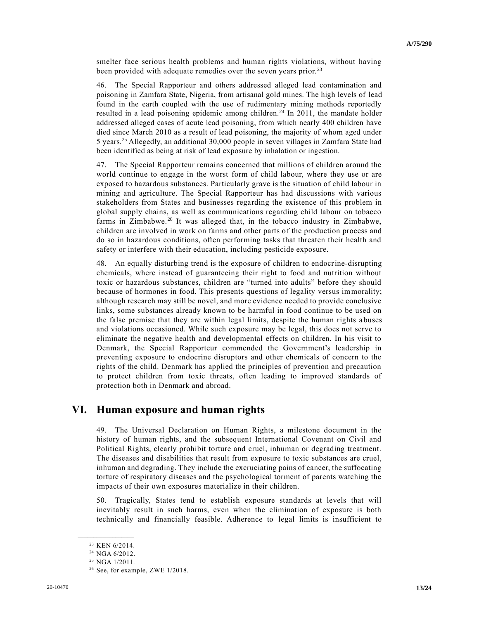smelter face serious health problems and human rights violations, without having been provided with adequate remedies over the seven years prior.<sup>23</sup>

46. The Special Rapporteur and others addressed alleged lead contamination and poisoning in Zamfara State, Nigeria, from artisanal gold mines. The high levels of lead found in the earth coupled with the use of rudimentary mining methods reportedly resulted in a lead poisoning epidemic among children.<sup>24</sup> In 2011, the mandate holder addressed alleged cases of acute lead poisoning, from which nearly 400 children have died since March 2010 as a result of lead poisoning, the majority of whom aged under 5 years.<sup>25</sup> Allegedly, an additional 30,000 people in seven villages in Zamfara State had been identified as being at risk of lead exposure by inhalation or ingestion.

47. The Special Rapporteur remains concerned that millions of children around the world continue to engage in the worst form of child labour, where they use or are exposed to hazardous substances. Particularly grave is the situation of child labour in mining and agriculture. The Special Rapporteur has had discussions with various stakeholders from States and businesses regarding the existence of this problem in global supply chains, as well as communications regarding child labour on tobacco farms in Zimbabwe.<sup>26</sup> It was alleged that, in the tobacco industry in Zimbabwe, children are involved in work on farms and other parts of the production process and do so in hazardous conditions, often performing tasks that threaten their health and safety or interfere with their education, including pesticide exposure.

48. An equally disturbing trend is the exposure of children to endocrine-disrupting chemicals, where instead of guaranteeing their right to food and nutrition without toxic or hazardous substances, children are "turned into adults" before they should because of hormones in food. This presents questions of legality versus immorality; although research may still be novel, and more evidence needed to provide conclusive links, some substances already known to be harmful in food continue to be used on the false premise that they are within legal limits, despite the human rights abuses and violations occasioned. While such exposure may be legal, this does not serve to eliminate the negative health and developmental effects on children. In his visit to Denmark, the Special Rapporteur commended the Government's leadership in preventing exposure to endocrine disruptors and other chemicals of concern to the rights of the child. Denmark has applied the principles of prevention and precaution to protect children from toxic threats, often leading to improved standards of protection both in Denmark and abroad.

## **VI. Human exposure and human rights**

49. The Universal Declaration on Human Rights, a milestone document in the history of human rights, and the subsequent International Covenant on Civil and Political Rights, clearly prohibit torture and cruel, inhuman or degrading treatment. The diseases and disabilities that result from exposure to toxic substances are cruel, inhuman and degrading. They include the excruciating pains of cancer, the suffocating torture of respiratory diseases and the psychological torment of parents watching the impacts of their own exposures materialize in their children.

50. Tragically, States tend to establish exposure standards at levels that will inevitably result in such harms, even when the elimination of exposure is both technically and financially feasible. Adherence to legal limits is insufficient to

<sup>23</sup> KEN 6/2014.

<sup>24</sup> NGA 6/2012.

<sup>25</sup> NGA 1/2011.

 $26$  See, for example, ZWE 1/2018.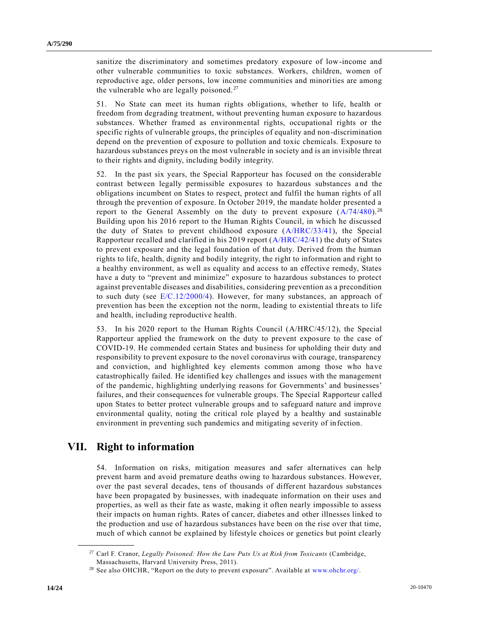sanitize the discriminatory and sometimes predatory exposure of low-income and other vulnerable communities to toxic substances. Workers, children, women of reproductive age, older persons, low income communities and minorities are among the vulnerable who are legally poisoned.<sup>27</sup>

51. No State can meet its human rights obligations, whether to life, health or freedom from degrading treatment, without preventing human exposure to hazardous substances. Whether framed as environmental rights, occupational rights or the specific rights of vulnerable groups, the principles of equality and non-discrimination depend on the prevention of exposure to pollution and toxic chemicals. Exposure to hazardous substances preys on the most vulnerable in society and is an invisible threat to their rights and dignity, including bodily integrity.

52. In the past six years, the Special Rapporteur has focused on the considerable contrast between legally permissible exposures to hazardous substances and the obligations incumbent on States to respect, protect and fulfil the human rights of all through the prevention of exposure. In October 2019, the mandate holder presented a report to the General Assembly on the duty to prevent exposure  $(A/74/480)^{28}$  $(A/74/480)^{28}$ Building upon his 2016 report to the Human Rights Council, in which he discussed the duty of States to prevent childhood exposure [\(A/HRC/33/41\)](https://undocs.org/en/A/HRC/33/41), the Special Rapporteur recalled and clarified in his 2019 report [\(A/HRC/42/41\)](https://undocs.org/en/A/HRC/42/41) the duty of States to prevent exposure and the legal foundation of that duty. Derived from the human rights to life, health, dignity and bodily integrity, the right to information and right to a healthy environment, as well as equality and access to an effective remedy, States have a duty to "prevent and minimize" exposure to hazardous substances to protect against preventable diseases and disabilities, considering prevention as a precondition to such duty (see [E/C.12/2000/4\)](https://undocs.org/en/E/C.12/2000/4). However, for many substances, an approach of prevention has been the exception not the norm, leading to existential thre ats to life and health, including reproductive health.

53. In his 2020 report to the Human Rights Council (A/HRC/45/12), the Special Rapporteur applied the framework on the duty to prevent exposure to the case of COVID-19. He commended certain States and business for upholding their duty and responsibility to prevent exposure to the novel coronavirus with courage, transparency and conviction, and highlighted key elements common among those who have catastrophically failed. He identified key challenges and issues with the management of the pandemic, highlighting underlying reasons for Governments' and businesses' failures, and their consequences for vulnerable groups. The Special Rapporteur called upon States to better protect vulnerable groups and to safeguard nature and improve environmental quality, noting the critical role played by a healthy and sustainable environment in preventing such pandemics and mitigating severity of infection.

### **VII. Right to information**

**\_\_\_\_\_\_\_\_\_\_\_\_\_\_\_\_\_\_**

54. Information on risks, mitigation measures and safer alternatives can help prevent harm and avoid premature deaths owing to hazardous substances. However, over the past several decades, tens of thousands of different hazardous substances have been propagated by businesses, with inadequate information on their uses and properties, as well as their fate as waste, making it often nearly impossible to assess their impacts on human rights. Rates of cancer, diabetes and other illnesses linked to the production and use of hazardous substances have been on the rise over that time, much of which cannot be explained by lifestyle choices or genetics but point clearly

<sup>27</sup> Carl F. Cranor, *Legally Poisoned: How the Law Puts Us at Risk from Toxicants* (Cambridge, Massachusetts, Harvard University Press, 2011).

<sup>28</sup> See also OHCHR, "Report on the duty to prevent exposure". Available at [www.ohchr.org/.](http://www.ohchr.org/)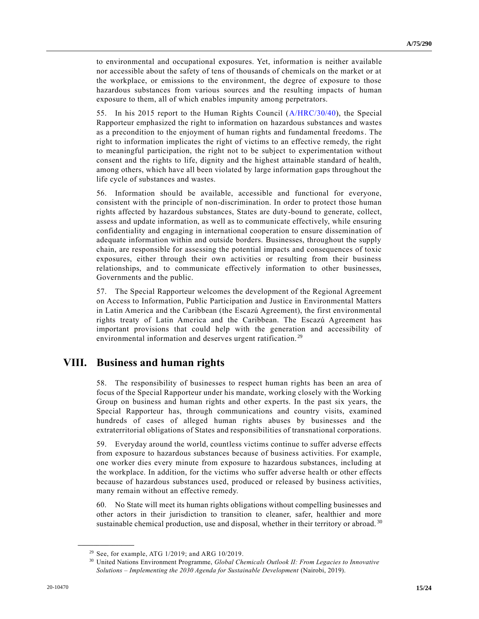to environmental and occupational exposures. Yet, information is neither available nor accessible about the safety of tens of thousands of chemicals on the market or at the workplace, or emissions to the environment, the degree of exposure to those hazardous substances from various sources and the resulting impacts of human exposure to them, all of which enables impunity among perpetrators.

55. In his 2015 report to the Human Rights Council [\(A/HRC/30/40\)](https://undocs.org/en/A/HRC/30/40), the Special Rapporteur emphasized the right to information on hazardous substances and wastes as a precondition to the enjoyment of human rights and fundamental freedoms. The right to information implicates the right of victims to an effective remedy, the right to meaningful participation, the right not to be subject to experimentation without consent and the rights to life, dignity and the highest attainable standard of health, among others, which have all been violated by large information gaps throughout the life cycle of substances and wastes.

56. Information should be available, accessible and functional for everyone, consistent with the principle of non-discrimination. In order to protect those human rights affected by hazardous substances, States are duty-bound to generate, collect, assess and update information, as well as to communicate effectively, while ensuring confidentiality and engaging in international cooperation to ensure dissemination of adequate information within and outside borders. Businesses, throughout the supply chain, are responsible for assessing the potential impacts and consequences of toxic exposures, either through their own activities or resulting from their business relationships, and to communicate effectively information to other businesses, Governments and the public.

57. The Special Rapporteur welcomes the development of the Regional Agreement on Access to Information, Public Participation and Justice in Environmental Matters in Latin America and the Caribbean (the Escazú Agreement), the first environmental rights treaty of Latin America and the Caribbean. The Escazú Agreement has important provisions that could help with the generation and accessibility of environmental information and deserves urgent ratification.<sup>29</sup>

## **VIII. Business and human rights**

58. The responsibility of businesses to respect human rights has been an area of focus of the Special Rapporteur under his mandate, working closely with the Working Group on business and human rights and other experts. In the past six years, the Special Rapporteur has, through communications and country visits, examined hundreds of cases of alleged human rights abuses by businesses and the extraterritorial obligations of States and responsibilities of transnational corporations.

59. Everyday around the world, countless victims continue to suffer adverse effects from exposure to hazardous substances because of business activities. For example, one worker dies every minute from exposure to hazardous substances, including at the workplace. In addition, for the victims who suffer adverse health or other effects because of hazardous substances used, produced or released by business activities, many remain without an effective remedy.

60. No State will meet its human rights obligations without compelling businesses and other actors in their jurisdiction to transition to cleaner, safer, healthier and more sustainable chemical production, use and disposal, whether in their territory or abroad.<sup>30</sup>

 $29$  See, for example, ATG 1/2019; and ARG 10/2019.

<sup>30</sup> United Nations Environment Programme, *Global Chemicals Outlook II: From Legacies to Innovative Solutions – Implementing the 2030 Agenda for Sustainable Development* (Nairobi, 2019).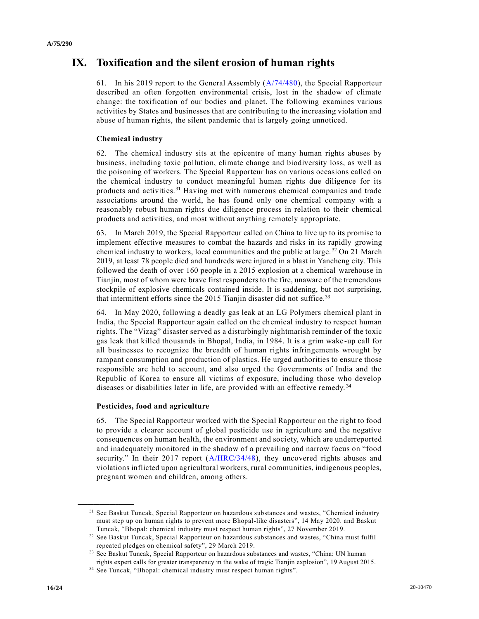## **IX. Toxification and the silent erosion of human rights**

61. In his 2019 report to the General Assembly [\(A/74/480\)](https://undocs.org/en/A/74/480), the Special Rapporteur described an often forgotten environmental crisis, lost in the shadow of climate change: the toxification of our bodies and planet. The following examines various activities by States and businesses that are contributing to the increasing violation and abuse of human rights, the silent pandemic that is largely going unnoticed.

#### **Chemical industry**

62. The chemical industry sits at the epicentre of many human rights abuses by business, including toxic pollution, climate change and biodiversity loss, as well as the poisoning of workers. The Special Rapporteur has on various occasions called on the chemical industry to conduct meaningful human rights due diligence for its products and activities.<sup>31</sup> Having met with numerous chemical companies and trade associations around the world, he has found only one chemical company with a reasonably robust human rights due diligence process in relation to their chemical products and activities, and most without anything remotely appropriate.

63. In March 2019, the Special Rapporteur called on China to live up to its promise to implement effective measures to combat the hazards and risks in its rapidly growing chemical industry to workers, local communities and the public at large.  $32$  On 21 March 2019, at least 78 people died and hundreds were injured in a blast in Yancheng city. This followed the death of over 160 people in a 2015 explosion at a chemical warehouse in Tianjin, most of whom were brave first responders to the fire, unaware of the tremendous stockpile of explosive chemicals contained inside. It is saddening, but not surprising, that intermittent efforts since the 2015 Tianjin disaster did not suffice.<sup>33</sup>

64. In May 2020, following a deadly gas leak at an LG Polymers chemical plant in India, the Special Rapporteur again called on the chemical industry to respect human rights. The "Vizag" disaster served as a disturbingly nightmarish reminder of the toxic gas leak that killed thousands in Bhopal, India, in 1984. It is a grim wake -up call for all businesses to recognize the breadth of human rights infringements wrought by rampant consumption and production of plastics. He urged authorities to ensure those responsible are held to account, and also urged the Governments of India and the Republic of Korea to ensure all victims of exposure, including those who develop diseases or disabilities later in life, are provided with an effective remedy. <sup>34</sup>

#### **Pesticides, food and agriculture**

**\_\_\_\_\_\_\_\_\_\_\_\_\_\_\_\_\_\_**

65. The Special Rapporteur worked with the Special Rapporteur on the right to food to provide a clearer account of global pesticide use in agriculture and the negative consequences on human health, the environment and society, which are underreported and inadequately monitored in the shadow of a prevailing and narrow focus on "food security." In their 2017 report [\(A/HRC/34/48\)](https://undocs.org/en/A/HRC/34/48), they uncovered rights abuses and violations inflicted upon agricultural workers, rural communities, indigenous peoples, pregnant women and children, among others.

<sup>&</sup>lt;sup>31</sup> See Baskut Tuncak, Special Rapporteur on hazardous substances and wastes, "Chemical industry must step up on human rights to prevent more Bhopal-like disasters", 14 May 2020. and Baskut Tuncak, "Bhopal: chemical industry must respect human rights", 27 November 2019.

<sup>32</sup> See Baskut Tuncak, Special Rapporteur on hazardous substances and wastes, "China must fulfil repeated pledges on chemical safety", 29 March 2019.

<sup>&</sup>lt;sup>33</sup> See Baskut Tuncak, Special Rapporteur on hazardous substances and wastes, "China: UN human rights expert calls for greater transparency in the wake of tragic Tianjin explosion", 19 August 2015.

<sup>34</sup> See Tuncak, "Bhopal: chemical industry must respect human rights".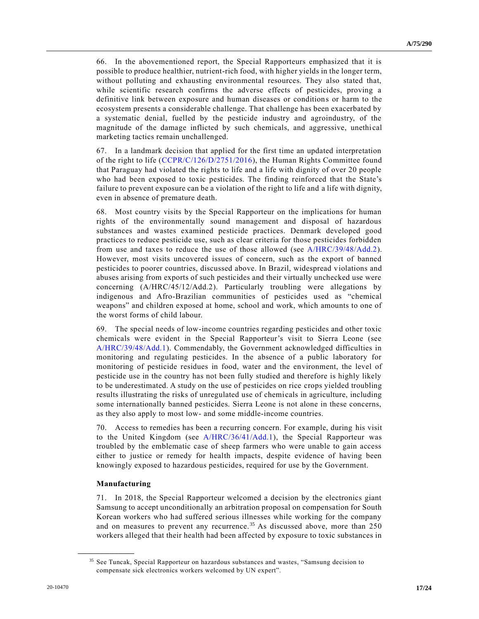66. In the abovementioned report, the Special Rapporteurs emphasized that it is possible to produce healthier, nutrient-rich food, with higher yields in the longer term, without polluting and exhausting environmental resources. They also stated that, while scientific research confirms the adverse effects of pesticides, proving a definitive link between exposure and human diseases or conditions or harm to the ecosystem presents a considerable challenge. That challenge has been exacerbated by a systematic denial, fuelled by the pesticide industry and agroindustry, of the magnitude of the damage inflicted by such chemicals, and aggressive, unethical marketing tactics remain unchallenged.

67. In a landmark decision that applied for the first time an updated interpretation of the right to life [\(CCPR/C/126/D/2751/2016\)](https://undocs.org/en/CCPR/C/126/D/2751/2016), the Human Rights Committee found that Paraguay had violated the rights to life and a life with dignity of over 20 people who had been exposed to toxic pesticides. The finding reinforced that the State's failure to prevent exposure can be a violation of the right to life and a life with dignity, even in absence of premature death.

68. Most country visits by the Special Rapporteur on the implications for human rights of the environmentally sound management and disposal of hazardous substances and wastes examined pesticide practices. Denmark developed good practices to reduce pesticide use, such as clear criteria for those pesticides forbidden from use and taxes to reduce the use of those allowed (see [A/HRC/39/48/Add.2\)](https://undocs.org/en/A/HRC/39/48/Add.2). However, most visits uncovered issues of concern, such as the export of banned pesticides to poorer countries, discussed above. In Brazil, widespread violations and abuses arising from exports of such pesticides and their virtually unchecked use were concerning (A/HRC/45/12/Add.2). Particularly troubling were allegations by indigenous and Afro-Brazilian communities of pesticides used as "chemical weapons" and children exposed at home, school and work, which amounts to one of the worst forms of child labour.

69. The special needs of low-income countries regarding pesticides and other toxic chemicals were evident in the Special Rapporteur's visit to Sierra Leone (see [A/HRC/39/48/Add.1\)](https://undocs.org/en/A/HRC/39/48/Add.1). Commendably, the Government acknowledged difficulties in monitoring and regulating pesticides. In the absence of a public laboratory for monitoring of pesticide residues in food, water and the environment, the level of pesticide use in the country has not been fully studied and therefore is highly likely to be underestimated. A study on the use of pesticides on rice crops yielded troubling results illustrating the risks of unregulated use of chemicals in agriculture, including some internationally banned pesticides. Sierra Leone is not alone in these concerns, as they also apply to most low- and some middle-income countries.

70. Access to remedies has been a recurring concern. For example, during his visit to the United Kingdom (see [A/HRC/36/41/Add.1\)](https://undocs.org/en/A/HRC/36/41/Add.1), the Special Rapporteur was troubled by the emblematic case of sheep farmers who were unable to gain access either to justice or remedy for health impacts, despite evidence of having been knowingly exposed to hazardous pesticides, required for use by the Government.

#### **Manufacturing**

**\_\_\_\_\_\_\_\_\_\_\_\_\_\_\_\_\_\_**

71. In 2018, the Special Rapporteur welcomed a decision by the electronics giant Samsung to accept unconditionally an arbitration proposal on compensation for South Korean workers who had suffered serious illnesses while working for the company and on measures to prevent any recurrence.<sup>35</sup> As discussed above, more than 250 workers alleged that their health had been affected by exposure to toxic substances in

<sup>35</sup> See Tuncak, Special Rapporteur on hazardous substances and wastes, "Samsung decision to compensate sick electronics workers welcomed by UN expert".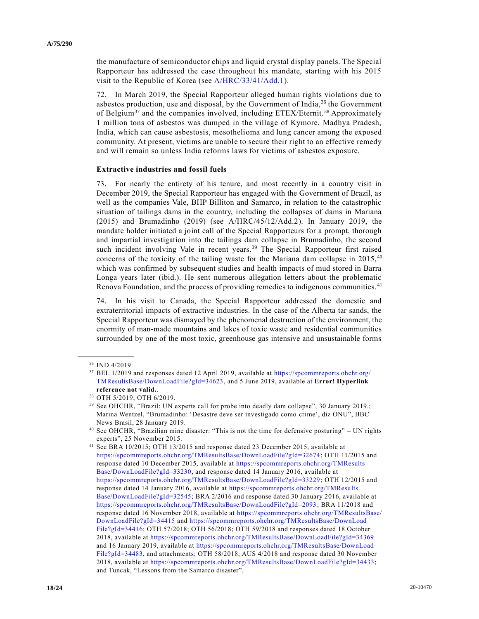the manufacture of semiconductor chips and liquid crystal display panels. The Special Rapporteur has addressed the case throughout his mandate, starting with his 2015 visit to the Republic of Korea (see [A/HRC/33/41/Add.1\)](https://undocs.org/en/A/HRC/33/41/Add.1).

72. In March 2019, the Special Rapporteur alleged human rights violations due to asbestos production, use and disposal, by the Government of India,<sup>36</sup> the Government of Belgium<sup>37</sup> and the companies involved, including ETEX/Eternit.<sup>38</sup> Approximately 1 million tons of asbestos was dumped in the village of Kymore, Madhya Pradesh, India, which can cause asbestosis, mesothelioma and lung cancer among the exposed community. At present, victims are unable to secure their right to an effective remedy and will remain so unless India reforms laws for victims of asbestos exposure.

#### **Extractive industries and fossil fuels**

73. For nearly the entirety of his tenure, and most recently in a country visit in December 2019, the Special Rapporteur has engaged with the Government of Brazil, as well as the companies Vale, BHP Billiton and Samarco, in relation to the catastrophic situation of tailings dams in the country, including the collapses of dams in Mariana (2015) and Brumadinho (2019) (see A/HRC/45/12/Add.2). In January 2019, the mandate holder initiated a joint call of the Special Rapporteurs for a prompt, thorough and impartial investigation into the tailings dam collapse in Brumadinho, the second such incident involving Vale in recent years.<sup>39</sup> The Special Rapporteur first raised concerns of the toxicity of the tailing waste for the Mariana dam collapse in 2015, <sup>40</sup> which was confirmed by subsequent studies and health impacts of mud stored in Barra Longa years later (ibid.). He sent numerous allegation letters about the problematic Renova Foundation, and the process of providing remedies to indigenous communities. <sup>41</sup>

74. In his visit to Canada, the Special Rapporteur addressed the domestic and extraterritorial impacts of extractive industries. In the case of the Alberta tar sands, the Special Rapporteur was dismayed by the phenomenal destruction of the environment, the enormity of man-made mountains and lakes of toxic waste and residential communities surrounded by one of the most toxic, greenhouse gas intensive and unsustainable forms

**\_\_\_\_\_\_\_\_\_\_\_\_\_\_\_\_\_\_** <sup>36</sup> IND 4/2019.

<sup>37</sup> BEL 1/2019 and responses dated 12 April 2019, available at [https://spcommreports.ohchr.org/](https://spcommreports.ohchr.org/TMResultsBase/DownLoadFile?gId=34623)  [TMResultsBase/DownLoadFile?gId=34623,](https://spcommreports.ohchr.org/TMResultsBase/DownLoadFile?gId=34623) and 5 June 2019, available at **Error! Hyperlink reference not valid.**.

<sup>38</sup> OTH 5/2019; OTH 6/2019.

<sup>39</sup> See OHCHR, "Brazil: UN experts call for probe into deadly dam collapse", 30 January 2019.; Marina Wentzel, "Brumadinho: 'Desastre deve ser investigado como crime', diz ONU", BBC News Brasil, 28 January 2019.

<sup>40</sup> See OHCHR, "Brazilian mine disaster: "This is not the time for defensive posturing" – UN rights experts", 25 November 2015.

<sup>41</sup> See BRA 10/2015; OTH 13/2015 and response dated 23 December 2015, availa ble at [https://spcommreports.ohchr.org/TMResultsBase/DownLoadFile?gId=32674;](https://spcommreports.ohchr.org/TMResultsBase/DownLoadFile?gId=32674) OTH 11/2015 and response dated 10 December 2015, available at [https://spcommreports.ohchr.org/TMResults](https://spcommreports.ohchr.org/TMResultsBase/DownLoadFile?gId=33230)  [Base/DownLoadFile?gId=33230,](https://spcommreports.ohchr.org/TMResultsBase/DownLoadFile?gId=33230) and response dated 14 January 2016, available at [https://spcommreports.ohchr.org/TMResultsBase/DownLoadFile?gId=33229;](https://spcommreports.ohchr.org/TMResultsBase/DownLoadFile?gId=33229) OTH 12/2015 and response dated 14 January 2016, available at [https://spcommreports.ohchr.org/TMResults](https://spcommreports.ohchr.org/TMResultsBase/DownLoadFile?gId=32545)  [Base/DownLoadFile?gId=32545;](https://spcommreports.ohchr.org/TMResultsBase/DownLoadFile?gId=32545) BRA 2/2016 and response dated 30 January 2016, available at [https://spcommreports.ohchr.org/TMResultsBase/DownLoadFile?gId=2093;](https://spcommreports.ohchr.org/TMResultsBase/DownLoadFile?gId=2093) BRA 11/2018 and response dated 16 November 2018, available at [https://spcommreports.ohchr.org/TMResultsBase/](https://spcommreports.ohchr.org/TMResultsBase/DownLoadFile?gId=34415)  [DownLoadFile?gId=34415](https://spcommreports.ohchr.org/TMResultsBase/DownLoadFile?gId=34415) and [https://spcommreports.ohchr.org/TMResultsBase/DownLoad](https://spcommreports.ohchr.org/TMResultsBase/DownLoadFile?gId=34416)  [File?gId=34416;](https://spcommreports.ohchr.org/TMResultsBase/DownLoadFile?gId=34416) OTH 57/2018; OTH 56/2018; OTH 59/2018 and responses dated 18 October 2018, available at<https://spcommreports.ohchr.org/TMResultsBase/DownLoadFile?gId=34369> and 16 January 2019, available at [https://spcommreports.ohchr.org/TMResultsBase/DownLoad](https://spcommreports.ohchr.org/TMResultsBase/DownLoadFile?gId=34483)  [File?gId=34483,](https://spcommreports.ohchr.org/TMResultsBase/DownLoadFile?gId=34483) and attachments; OTH 58/2018; AUS 4/2018 and response dated 30 November 2018, available at [https://spcommreports.ohchr.org/TMResultsBase/DownLoadFile?gId=34433;](https://spcommreports.ohchr.org/TMResultsBase/DownLoadFile?gId=34433) and Tuncak, "Lessons from the Samarco disaster".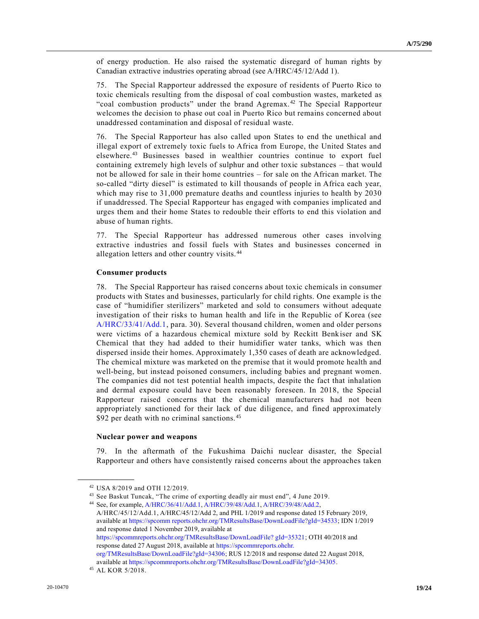of energy production. He also raised the systematic disregard of human rights by Canadian extractive industries operating abroad (see A/HRC/45/12/Add 1).

75. The Special Rapporteur addressed the exposure of residents of Puerto Rico to toxic chemicals resulting from the disposal of coal combustion wastes, marketed as "coal combustion products" under the brand Agremax. <sup>42</sup> The Special Rapporteur welcomes the decision to phase out coal in Puerto Rico but remains concerned about unaddressed contamination and disposal of residual waste.

76. The Special Rapporteur has also called upon States to end the unethical and illegal export of extremely toxic fuels to Africa from Europe, the United States and elsewhere.<sup>43</sup> Businesses based in wealthier countries continue to export fuel containing extremely high levels of sulphur and other toxic substances – that would not be allowed for sale in their home countries – for sale on the African market. The so-called "dirty diesel" is estimated to kill thousands of people in Africa each year, which may rise to 31,000 premature deaths and countless injuries to health by 2030 if unaddressed. The Special Rapporteur has engaged with companies implicated and urges them and their home States to redouble their efforts to end this violation and abuse of human rights.

77. The Special Rapporteur has addressed numerous other cases involving extractive industries and fossil fuels with States and businesses concerned in allegation letters and other country visits. <sup>44</sup>

#### **Consumer products**

78. The Special Rapporteur has raised concerns about toxic chemicals in consumer products with States and businesses, particularly for child rights. One example is the case of "humidifier sterilizers" marketed and sold to consumers without adequate investigation of their risks to human health and life in the Republic of Korea (see [A/HRC/33/41/Add.1,](https://undocs.org/en/A/HRC/33/41/Add.1) para. 30). Several thousand children, women and older persons were victims of a hazardous chemical mixture sold by Reckitt Benkiser and SK Chemical that they had added to their humidifier water tanks, which was then dispersed inside their homes. Approximately 1,350 cases of death are acknowledged. The chemical mixture was marketed on the premise that it would promote health and well-being, but instead poisoned consumers, including babies and pregnant women. The companies did not test potential health impacts, despite the fact that inhalation and dermal exposure could have been reasonably foreseen. In 2018, the Special Rapporteur raised concerns that the chemical manufacturers had not been appropriately sanctioned for their lack of due diligence, and fined approximately \$92 per death with no criminal sanctions.<sup>45</sup>

#### **Nuclear power and weapons**

79. In the aftermath of the Fukushima Daichi nuclear disaster, the Special Rapporteur and others have consistently raised concerns about the approaches taken

<sup>44</sup> See, for example[, A/HRC/36/41/Add.1,](https://undocs.org/en/A/HRC/36/41/Add.1) [A/HRC/39/48/Add.1,](https://undocs.org/en/A/HRC/39/48/Add.1) [A/HRC/39/48/Add.2,](https://undocs.org/en/A/HRC/39/48/Add.2) A/HRC/45/12/Add.1, A/HRC/45/12/Add 2, and PHL 1/2019 and response dated 15 February 2019, available at [https://spcomm reports.ohchr.org/TMResultsBase/DownLoadFile?gId=34533;](https://spcommreports.ohchr.org/TMResultsBase/DownLoadFile?gId=34533) IDN 1/2019 and response dated 1 November 2019, available at [https://spcommreports.ohchr.org/TMResultsBase/DownLoadFile? gId=35321;](https://spcommreports.ohchr.org/TMResultsBase/DownLoadFile?gId=35321) OTH 40/2018 and response dated 27 August 2018, available a[t https://spcommreports.ohchr.](https://spcommreports.ohchr.org/TMResultsBase/DownLoadFile?gId=34306)  [org/TMResultsBase/DownLoadFile?gId=34306;](https://spcommreports.ohchr.org/TMResultsBase/DownLoadFile?gId=34306) RUS 12/2018 and response dated 22 August 2018, available at [https://spcommreports.ohchr.org/TMResultsBase/DownLoadFile?gId=34305.](https://spcommreports.ohchr.org/TMResultsBase/DownLoadFile?gId=34305)

<sup>42</sup> USA 8/2019 and OTH 12/2019.

<sup>43</sup> See Baskut Tuncak, "The crime of exporting deadly air must end", 4 June 2019.

<sup>45</sup> AL KOR 5/2018.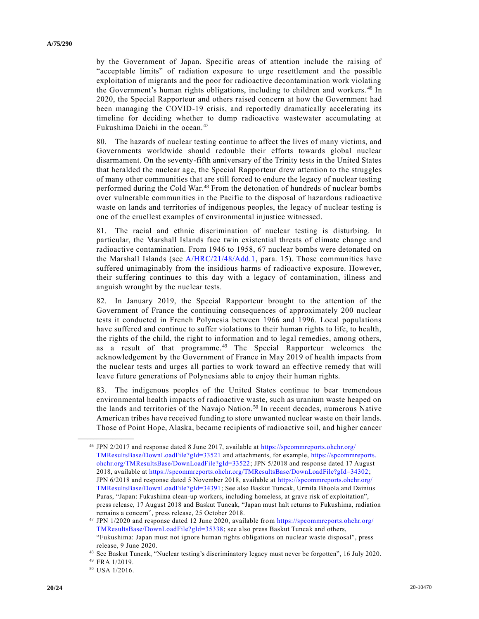by the Government of Japan. Specific areas of attention include the raising of "acceptable limits" of radiation exposure to urge resettlement and the possible exploitation of migrants and the poor for radioactive decontamination work violating the Government's human rights obligations, including to children and workers. <sup>46</sup> In 2020, the Special Rapporteur and others raised concern at how the Government had been managing the COVID-19 crisis, and reportedly dramatically accelerating its timeline for deciding whether to dump radioactive wastewater accumulating at Fukushima Daichi in the ocean.<sup>47</sup>

80. The hazards of nuclear testing continue to affect the lives of many victims, and Governments worldwide should redouble their efforts towards global nuclear disarmament. On the seventy-fifth anniversary of the Trinity tests in the United States that heralded the nuclear age, the Special Rapporteur drew attention to the struggles of many other communities that are still forced to endure the legacy of nuclear testing performed during the Cold War.<sup>48</sup> From the detonation of hundreds of nuclear bombs over vulnerable communities in the Pacific to the disposal of hazardous radioactive waste on lands and territories of indigenous peoples, the legacy of nuclear testing is one of the cruellest examples of environmental injustice witnessed.

81. The racial and ethnic discrimination of nuclear testing is disturbing. In particular, the Marshall Islands face twin existential threats of climate change and radioactive contamination. From 1946 to 1958, 67 nuclear bombs were detonated on the Marshall Islands (see [A/HRC/21/48/Add.1,](https://undocs.org/en/A/HRC/21/48/Add.1) para. 15). Those communities have suffered unimaginably from the insidious harms of radioactive exposure. However, their suffering continues to this day with a legacy of contamination, illness and anguish wrought by the nuclear tests.

82. In January 2019, the Special Rapporteur brought to the attention of the Government of France the continuing consequences of approximately 200 nuclear tests it conducted in French Polynesia between 1966 and 1996. Local populations have suffered and continue to suffer violations to their human rights to life, to health, the rights of the child, the right to information and to legal remedies, among others, as a result of that programme.<sup>49</sup> The Special Rapporteur welcomes the acknowledgement by the Government of France in May 2019 of health impacts from the nuclear tests and urges all parties to work toward an effective remedy that will leave future generations of Polynesians able to enjoy their human rights.

83. The indigenous peoples of the United States continue to bear tremendous environmental health impacts of radioactive waste, such as uranium waste heaped on the lands and territories of the Navajo Nation. <sup>50</sup> In recent decades, numerous Native American tribes have received funding to store unwanted nuclear waste on their lands. Those of Point Hope, Alaska, became recipients of radioactive soil, and higher cancer

<sup>46</sup> JPN 2/2017 and response dated 8 June 2017, available at [https://spcommreports.ohchr.org/](https://spcommreports.ohchr.org/TMResultsBase/DownLoadFile?gId=33521)  [TMResultsBase/DownLoadFile?gId=33521](https://spcommreports.ohchr.org/TMResultsBase/DownLoadFile?gId=33521) and attachments, for example, [https://spcommreports.](https://spcommreports.ohchr.org/TMResultsBase/DownLoadFile?gId=33522)  [ohchr.org/TMResultsBase/DownLoadFile?gId=33522;](https://spcommreports.ohchr.org/TMResultsBase/DownLoadFile?gId=33522) JPN 5/2018 and response dated 17 August 2018, available a[t https://spcommreports.ohchr.org/TMResultsBase/DownLoadFile?gId=34302;](https://spcommreports.ohchr.org/TMResultsBase/DownLoadFile?gId=34302) JPN 6/2018 and response dated 5 November 2018, available at [https://spcommreports.ohchr.org/](https://spcommreports.ohchr.org/TMResultsBase/DownLoadFile?gId=34391)  [TMResultsBase/DownLoadFile?gId=34391;](https://spcommreports.ohchr.org/TMResultsBase/DownLoadFile?gId=34391) See also Baskut Tuncak, Urmila Bhoola and Dainius Puras, "Japan: Fukushima clean-up workers, including homeless, at grave risk of exploitation", press release, 17 August 2018 and Baskut Tuncak, "Japan must halt returns to Fukushima, radiation remains a concern", press release, 25 October 2018.

<sup>47</sup> JPN 1/2020 and response dated 12 June 2020, available from [https://spcommreports.ohchr.org/](https://spcommreports.ohchr.org/TMResultsBase/DownLoadFile?gId=35338)  [TMResultsBase/DownLoadFile?gId=35338;](https://spcommreports.ohchr.org/TMResultsBase/DownLoadFile?gId=35338) see also press Baskut Tuncak and others, "Fukushima: Japan must not ignore human rights obligations on nuclear waste disposal", press release, 9 June 2020.

<sup>48</sup> See Baskut Tuncak, "Nuclear testing's discriminatory legacy must never be forgotten", 16 July 2020.

<sup>49</sup> FRA 1/2019.

<sup>50</sup> USA 1/2016.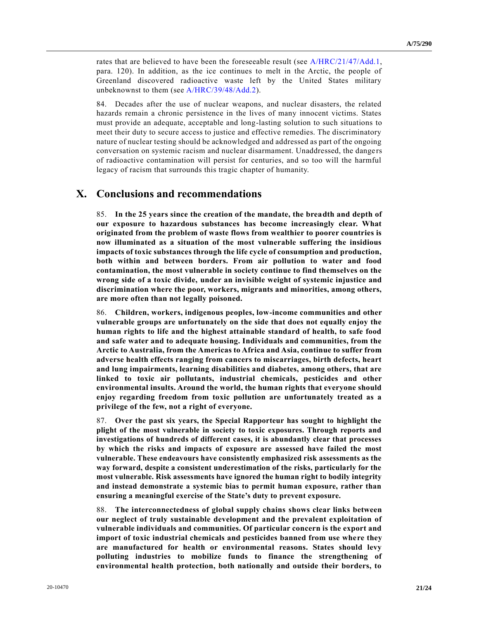rates that are believed to have been the foreseeable result (see [A/HRC/21/47/Add.1,](https://undocs.org/en/A/HRC/21/47/Add.1) para. 120). In addition, as the ice continues to melt in the Arctic, the people of Greenland discovered radioactive waste left by the United States military unbeknownst to them (see [A/HRC/39/48/Add.2\)](https://undocs.org/en/A/HRC/39/48/Add.2).

84. Decades after the use of nuclear weapons, and nuclear disasters, the related hazards remain a chronic persistence in the lives of many innocent victims. States must provide an adequate, acceptable and long-lasting solution to such situations to meet their duty to secure access to justice and effective remedies. The discriminatory nature of nuclear testing should be acknowledged and addressed as part of the ongoing conversation on systemic racism and nuclear disarmament. Unaddressed, the dange rs of radioactive contamination will persist for centuries, and so too will the harmful legacy of racism that surrounds this tragic chapter of humanity.

### **X. Conclusions and recommendations**

85. **In the 25 years since the creation of the mandate, the breadth and depth of our exposure to hazardous substances has become increasingly clear. What originated from the problem of waste flows from wealthier to poorer countries is now illuminated as a situation of the most vulnerable suffering the insidious impacts of toxic substances through the life cycle of consumption and production, both within and between borders. From air pollution to water and food contamination, the most vulnerable in society continue to find themselves on the wrong side of a toxic divide, under an invisible weight of systemic injustice and discrimination where the poor, workers, migrants and minorities, among others, are more often than not legally poisoned.**

86. **Children, workers, indigenous peoples, low-income communities and other vulnerable groups are unfortunately on the side that does not equally enjoy the human rights to life and the highest attainable standard of health, to safe food and safe water and to adequate housing. Individuals and communities, from the Arctic to Australia, from the Americas to Africa and Asia, continue to suffer from adverse health effects ranging from cancers to miscarriages, birth defects, heart and lung impairments, learning disabilities and diabetes, among others, that are linked to toxic air pollutants, industrial chemicals, pesticides and other environmental insults. Around the world, the human rights that everyone should enjoy regarding freedom from toxic pollution are unfortunately treated as a privilege of the few, not a right of everyone.**

87. **Over the past six years, the Special Rapporteur has sought to highlight the plight of the most vulnerable in society to toxic exposures. Through reports and investigations of hundreds of different cases, it is abundantly clear that processes by which the risks and impacts of exposure are assessed have failed the most vulnerable. These endeavours have consistently emphasized risk assessments as the way forward, despite a consistent underestimation of the risks, particularly for the most vulnerable. Risk assessments have ignored the human right to bodily integrity and instead demonstrate a systemic bias to permit human exposure, rather than ensuring a meaningful exercise of the State's duty to prevent exposure.**

88. **The interconnectedness of global supply chains shows clear links between our neglect of truly sustainable development and the prevalent exploitation of vulnerable individuals and communities. Of particular concern is the export and import of toxic industrial chemicals and pesticides banned from use where they are manufactured for health or environmental reasons. States should levy polluting industries to mobilize funds to finance the strengthening of environmental health protection, both nationally and outside their borders, to**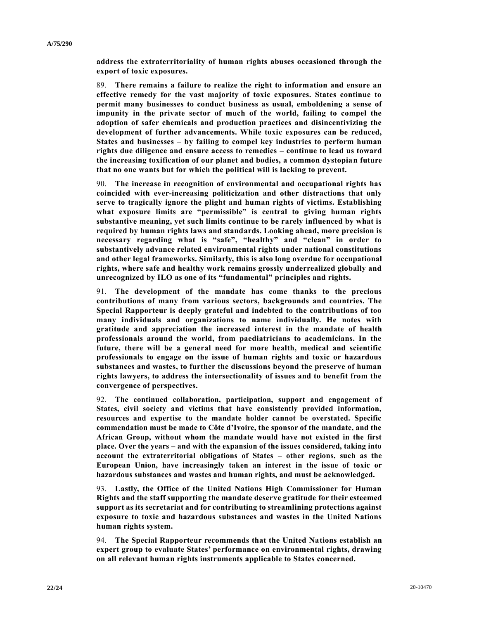**address the extraterritoriality of human rights abuses occasioned through the export of toxic exposures.**

89. **There remains a failure to realize the right to information and ensure an effective remedy for the vast majority of toxic exposures. States continue to permit many businesses to conduct business as usual, emboldening a sense of impunity in the private sector of much of the world, failing to compel the adoption of safer chemicals and production practices and disincentivizing the development of further advancements. While toxic exposures can be reduced, States and businesses – by failing to compel key industries to perform human rights due diligence and ensure access to remedies – continue to lead us toward the increasing toxification of our planet and bodies, a common dystopian future that no one wants but for which the political will is lacking to prevent.**

90. **The increase in recognition of environmental and occupational rights has coincided with ever-increasing politicization and other distractions that only serve to tragically ignore the plight and human rights of victims. Establishing what exposure limits are "permissible" is central to giving human rights substantive meaning, yet such limits continue to be rarely influenced by what is required by human rights laws and standards. Looking ahead, more precision is necessary regarding what is "safe", "healthy" and "clean" in order to substantively advance related environmental rights under national constitutions and other legal frameworks. Similarly, this is also long overdue for occupational rights, where safe and healthy work remains grossly underrealized globally and unrecognized by ILO as one of its "fundamental" principles and rights.**

91. **The development of the mandate has come thanks to the precious contributions of many from various sectors, backgrounds and countries. The Special Rapporteur is deeply grateful and indebted to the contributions of too many individuals and organizations to name individually. He notes with gratitude and appreciation the increased interest in the mandate of health professionals around the world, from paediatricians to academicians. In the future, there will be a general need for more health, medical and scientific professionals to engage on the issue of human rights and toxic or hazardous substances and wastes, to further the discussions beyond the preserve of human rights lawyers, to address the intersectionality of issues and to benefit from the convergence of perspectives.**

92. **The continued collaboration, participation, support and engagement of States, civil society and victims that have consistently provided information, resources and expertise to the mandate holder cannot be overstated. Specific commendation must be made to Côte d'Ivoire, the sponsor of the mandate, and the African Group, without whom the mandate would have not existed in the first place. Over the years – and with the expansion of the issues considered, taking into account the extraterritorial obligations of States – other regions, such as the European Union, have increasingly taken an interest in the issue of toxic or hazardous substances and wastes and human rights, and must be acknowledged.**

93. **Lastly, the Office of the United Nations High Commissioner for Human Rights and the staff supporting the mandate deserve gratitude for their esteemed support as its secretariat and for contributing to streamlining protections against exposure to toxic and hazardous substances and wastes in the United Nations human rights system.**

94. **The Special Rapporteur recommends that the United Nations establish an expert group to evaluate States' performance on environmental rights, drawing on all relevant human rights instruments applicable to States concerned.**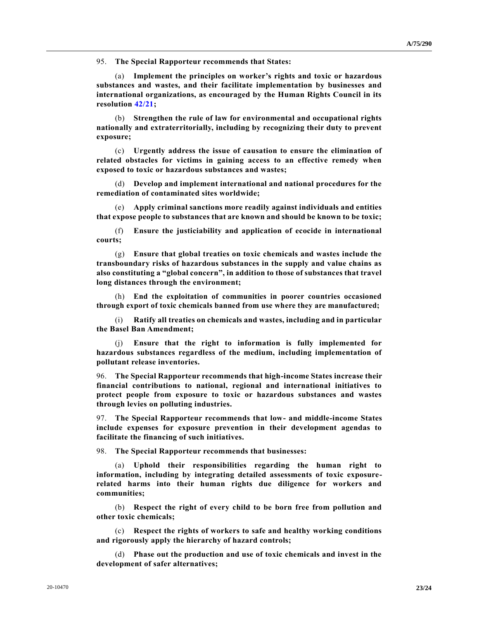95. **The Special Rapporteur recommends that States:**

(a) **Implement the principles on worker's rights and toxic or hazardous substances and wastes, and their facilitate implementation by businesses and international organizations, as encouraged by the Human Rights Council in its resolution [42/21;](https://undocs.org/en/A/HRC/RES/42/21)**

(b) **Strengthen the rule of law for environmental and occupational rights nationally and extraterritorially, including by recognizing their duty to prevent exposure;**

(c) **Urgently address the issue of causation to ensure the elimination of related obstacles for victims in gaining access to an effective remedy when exposed to toxic or hazardous substances and wastes;**

(d) **Develop and implement international and national procedures for the remediation of contaminated sites worldwide;**

(e) **Apply criminal sanctions more readily against individuals and entities that expose people to substances that are known and should be known to be toxic;**

(f) **Ensure the justiciability and application of ecocide in international courts;**

(g) **Ensure that global treaties on toxic chemicals and wastes include the transboundary risks of hazardous substances in the supply and value chains as also constituting a "global concern", in addition to those of substances that travel long distances through the environment;**

(h) **End the exploitation of communities in poorer countries occasioned through export of toxic chemicals banned from use where they are manufactured;**

(i) **Ratify all treaties on chemicals and wastes, including and in particular the Basel Ban Amendment;**

(j) **Ensure that the right to information is fully implemented for hazardous substances regardless of the medium, including implementation of pollutant release inventories.**

96. **The Special Rapporteur recommends that high-income States increase their financial contributions to national, regional and international initiatives to protect people from exposure to toxic or hazardous substances and wastes through levies on polluting industries.**

97. **The Special Rapporteur recommends that low- and middle-income States include expenses for exposure prevention in their development agendas to facilitate the financing of such initiatives.**

98. **The Special Rapporteur recommends that businesses:**

(a) **Uphold their responsibilities regarding the human right to information, including by integrating detailed assessments of toxic exposurerelated harms into their human rights due diligence for workers and communities;**

(b) **Respect the right of every child to be born free from pollution and other toxic chemicals;**

(c) **Respect the rights of workers to safe and healthy working conditions and rigorously apply the hierarchy of hazard controls;**

(d) **Phase out the production and use of toxic chemicals and invest in the development of safer alternatives;**